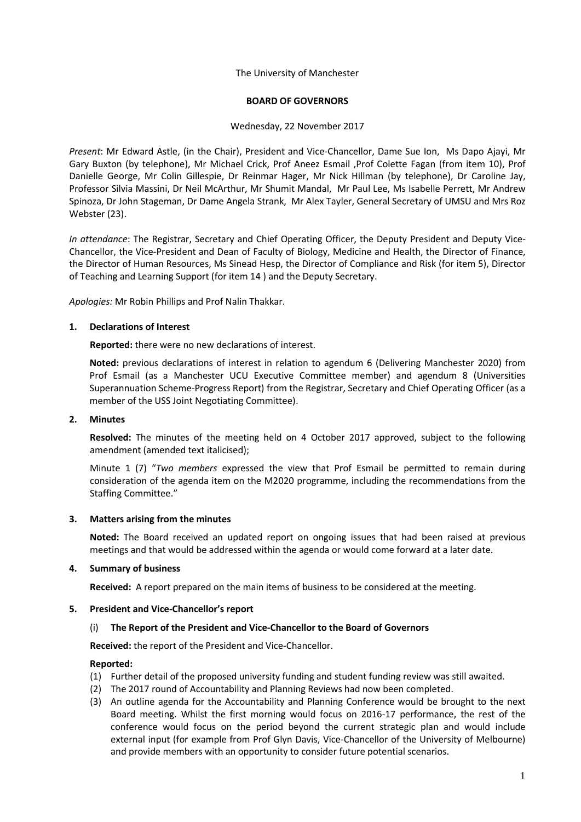### The University of Manchester

## **BOARD OF GOVERNORS**

### Wednesday, 22 November 2017

*Present*: Mr Edward Astle, (in the Chair), President and Vice-Chancellor, Dame Sue Ion, Ms Dapo Ajayi, Mr Gary Buxton (by telephone), Mr Michael Crick, Prof Aneez Esmail ,Prof Colette Fagan (from item 10), Prof Danielle George, Mr Colin Gillespie, Dr Reinmar Hager, Mr Nick Hillman (by telephone), Dr Caroline Jay, Professor Silvia Massini, Dr Neil McArthur, Mr Shumit Mandal, Mr Paul Lee, Ms Isabelle Perrett, Mr Andrew Spinoza, Dr John Stageman, Dr Dame Angela Strank, Mr Alex Tayler, General Secretary of UMSU and Mrs Roz Webster (23).

*In attendance*: The Registrar, Secretary and Chief Operating Officer, the Deputy President and Deputy Vice-Chancellor, the Vice-President and Dean of Faculty of Biology, Medicine and Health, the Director of Finance, the Director of Human Resources, Ms Sinead Hesp, the Director of Compliance and Risk (for item 5), Director of Teaching and Learning Support (for item 14 ) and the Deputy Secretary.

*Apologies:* Mr Robin Phillips and Prof Nalin Thakkar.

## **1. Declarations of Interest**

**Reported:** there were no new declarations of interest.

**Noted:** previous declarations of interest in relation to agendum 6 (Delivering Manchester 2020) from Prof Esmail (as a Manchester UCU Executive Committee member) and agendum 8 (Universities Superannuation Scheme-Progress Report) from the Registrar, Secretary and Chief Operating Officer (as a member of the USS Joint Negotiating Committee).

### **2. Minutes**

**Resolved:** The minutes of the meeting held on 4 October 2017 approved, subject to the following amendment (amended text italicised);

Minute 1 (7) "*Two members* expressed the view that Prof Esmail be permitted to remain during consideration of the agenda item on the M2020 programme, including the recommendations from the Staffing Committee."

# **3. Matters arising from the minutes**

**Noted:** The Board received an updated report on ongoing issues that had been raised at previous meetings and that would be addressed within the agenda or would come forward at a later date.

# **4. Summary of business**

**Received:** A report prepared on the main items of business to be considered at the meeting.

# **5. President and Vice-Chancellor's report**

# (i) **The Report of the President and Vice-Chancellor to the Board of Governors**

**Received:** the report of the President and Vice-Chancellor.

- (1) Further detail of the proposed university funding and student funding review was still awaited.
- (2) The 2017 round of Accountability and Planning Reviews had now been completed.
- (3) An outline agenda for the Accountability and Planning Conference would be brought to the next Board meeting. Whilst the first morning would focus on 2016-17 performance, the rest of the conference would focus on the period beyond the current strategic plan and would include external input (for example from Prof Glyn Davis, Vice-Chancellor of the University of Melbourne) and provide members with an opportunity to consider future potential scenarios.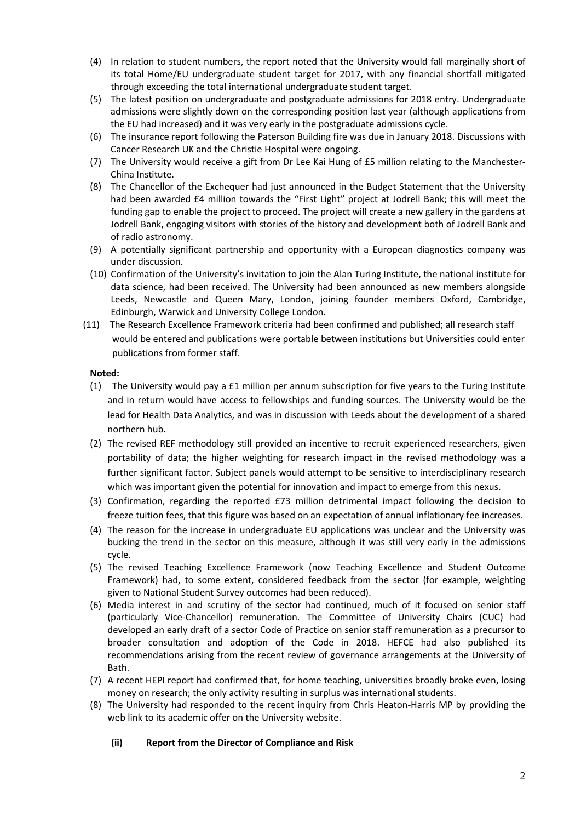- (4) In relation to student numbers, the report noted that the University would fall marginally short of its total Home/EU undergraduate student target for 2017, with any financial shortfall mitigated through exceeding the total international undergraduate student target.
- (5) The latest position on undergraduate and postgraduate admissions for 2018 entry. Undergraduate admissions were slightly down on the corresponding position last year (although applications from the EU had increased) and it was very early in the postgraduate admissions cycle.
- (6) The insurance report following the Paterson Building fire was due in January 2018. Discussions with Cancer Research UK and the Christie Hospital were ongoing.
- (7) The University would receive a gift from Dr Lee Kai Hung of £5 million relating to the Manchester-China Institute.
- (8) The Chancellor of the Exchequer had just announced in the Budget Statement that the University had been awarded £4 million towards the "First Light" project at Jodrell Bank; this will meet the funding gap to enable the project to proceed. The project will create a new gallery in the gardens at Jodrell Bank, engaging visitors with stories of the history and development both of Jodrell Bank and of radio astronomy.
- (9) A potentially significant partnership and opportunity with a European diagnostics company was under discussion.
- (10) Confirmation of the University's invitation to join the Alan Turing Institute, the national institute for data science, had been received. The University had been announced as new members alongside Leeds, Newcastle and Queen Mary, London, joining founder members Oxford, Cambridge, Edinburgh, Warwick and University College London.
- (11) The Research Excellence Framework criteria had been confirmed and published; all research staff would be entered and publications were portable between institutions but Universities could enter publications from former staff.

- (1) The University would pay a £1 million per annum subscription for five years to the Turing Institute and in return would have access to fellowships and funding sources. The University would be the lead for Health Data Analytics, and was in discussion with Leeds about the development of a shared northern hub.
- (2) The revised REF methodology still provided an incentive to recruit experienced researchers, given portability of data; the higher weighting for research impact in the revised methodology was a further significant factor. Subject panels would attempt to be sensitive to interdisciplinary research which was important given the potential for innovation and impact to emerge from this nexus.
- (3) Confirmation, regarding the reported £73 million detrimental impact following the decision to freeze tuition fees, that this figure was based on an expectation of annual inflationary fee increases.
- (4) The reason for the increase in undergraduate EU applications was unclear and the University was bucking the trend in the sector on this measure, although it was still very early in the admissions cycle.
- (5) The revised Teaching Excellence Framework (now Teaching Excellence and Student Outcome Framework) had, to some extent, considered feedback from the sector (for example, weighting given to National Student Survey outcomes had been reduced).
- (6) Media interest in and scrutiny of the sector had continued, much of it focused on senior staff (particularly Vice-Chancellor) remuneration. The Committee of University Chairs (CUC) had developed an early draft of a sector Code of Practice on senior staff remuneration as a precursor to broader consultation and adoption of the Code in 2018. HEFCE had also published its recommendations arising from the recent review of governance arrangements at the University of Bath.
- (7) A recent HEPI report had confirmed that, for home teaching, universities broadly broke even, losing money on research; the only activity resulting in surplus was international students.
- (8) The University had responded to the recent inquiry from Chris Heaton-Harris MP by providing the web link to its academic offer on the University website.

# **(ii) Report from the Director of Compliance and Risk**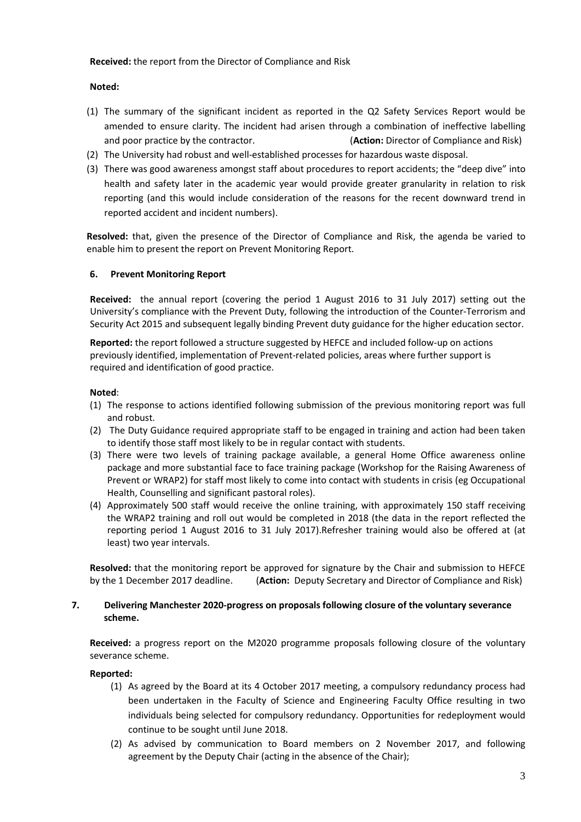## **Received:** the report from the Director of Compliance and Risk

## **Noted:**

- (1) The summary of the significant incident as reported in the Q2 Safety Services Report would be amended to ensure clarity. The incident had arisen through a combination of ineffective labelling and poor practice by the contractor. (**Action:** Director of Compliance and Risk)
- (2) The University had robust and well-established processes for hazardous waste disposal.
- (3) There was good awareness amongst staff about procedures to report accidents; the "deep dive" into health and safety later in the academic year would provide greater granularity in relation to risk reporting (and this would include consideration of the reasons for the recent downward trend in reported accident and incident numbers).

**Resolved:** that, given the presence of the Director of Compliance and Risk, the agenda be varied to enable him to present the report on Prevent Monitoring Report.

# **6. Prevent Monitoring Report**

**Received:** the annual report (covering the period 1 August 2016 to 31 July 2017) setting out the University's compliance with the Prevent Duty, following the introduction of the Counter-Terrorism and Security Act 2015 and subsequent legally binding Prevent duty guidance for the higher education sector.

**Reported:** the report followed a structure suggested by HEFCE and included follow-up on actions previously identified, implementation of Prevent-related policies, areas where further support is required and identification of good practice.

## **Noted**:

- (1) The response to actions identified following submission of the previous monitoring report was full and robust.
- (2) The Duty Guidance required appropriate staff to be engaged in training and action had been taken to identify those staff most likely to be in regular contact with students.
- (3) There were two levels of training package available, a general Home Office awareness online package and more substantial face to face training package (Workshop for the Raising Awareness of Prevent or WRAP2) for staff most likely to come into contact with students in crisis (eg Occupational Health, Counselling and significant pastoral roles).
- (4) Approximately 500 staff would receive the online training, with approximately 150 staff receiving the WRAP2 training and roll out would be completed in 2018 (the data in the report reflected the reporting period 1 August 2016 to 31 July 2017).Refresher training would also be offered at (at least) two year intervals.

**Resolved:** that the monitoring report be approved for signature by the Chair and submission to HEFCE by the 1 December 2017 deadline. (**Action:** Deputy Secretary and Director of Compliance and Risk)

# **7. Delivering Manchester 2020-progress on proposals following closure of the voluntary severance scheme.**

**Received:** a progress report on the M2020 programme proposals following closure of the voluntary severance scheme.

- (1) As agreed by the Board at its 4 October 2017 meeting, a compulsory redundancy process had been undertaken in the Faculty of Science and Engineering Faculty Office resulting in two individuals being selected for compulsory redundancy. Opportunities for redeployment would continue to be sought until June 2018.
- (2) As advised by communication to Board members on 2 November 2017, and following agreement by the Deputy Chair (acting in the absence of the Chair);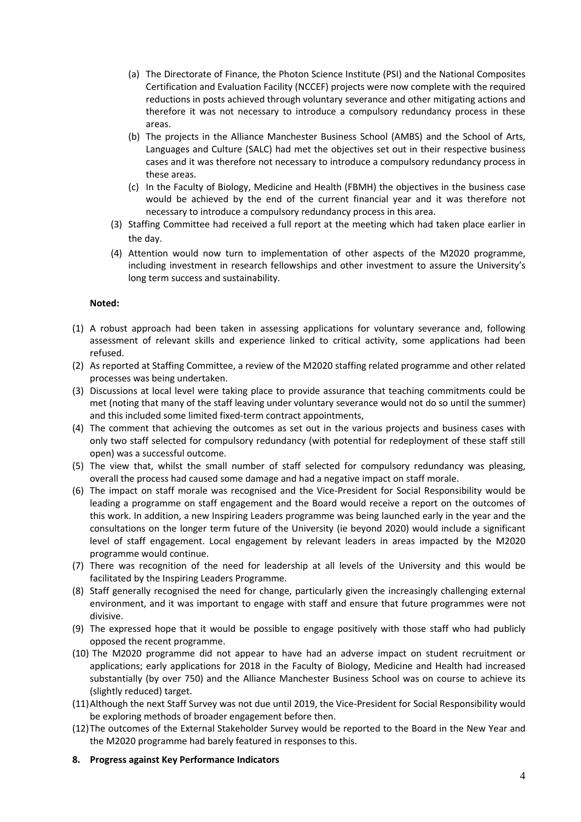- (a) The Directorate of Finance, the Photon Science Institute (PSI) and the National Composites Certification and Evaluation Facility (NCCEF) projects were now complete with the required reductions in posts achieved through voluntary severance and other mitigating actions and therefore it was not necessary to introduce a compulsory redundancy process in these areas.
- (b) The projects in the Alliance Manchester Business School (AMBS) and the School of Arts, Languages and Culture (SALC) had met the objectives set out in their respective business cases and it was therefore not necessary to introduce a compulsory redundancy process in these areas.
- (c) In the Faculty of Biology, Medicine and Health (FBMH) the objectives in the business case would be achieved by the end of the current financial year and it was therefore not necessary to introduce a compulsory redundancy process in this area.
- (3) Staffing Committee had received a full report at the meeting which had taken place earlier in the day.
- (4) Attention would now turn to implementation of other aspects of the M2020 programme, including investment in research fellowships and other investment to assure the University's long term success and sustainability.

- (1) A robust approach had been taken in assessing applications for voluntary severance and, following assessment of relevant skills and experience linked to critical activity, some applications had been refused.
- (2) As reported at Staffing Committee, a review of the M2020 staffing related programme and other related processes was being undertaken.
- (3) Discussions at local level were taking place to provide assurance that teaching commitments could be met (noting that many of the staff leaving under voluntary severance would not do so until the summer) and this included some limited fixed-term contract appointments,
- (4) The comment that achieving the outcomes as set out in the various projects and business cases with only two staff selected for compulsory redundancy (with potential for redeployment of these staff still open) was a successful outcome.
- (5) The view that, whilst the small number of staff selected for compulsory redundancy was pleasing, overall the process had caused some damage and had a negative impact on staff morale.
- (6) The impact on staff morale was recognised and the Vice-President for Social Responsibility would be leading a programme on staff engagement and the Board would receive a report on the outcomes of this work. In addition, a new Inspiring Leaders programme was being launched early in the year and the consultations on the longer term future of the University (ie beyond 2020) would include a significant level of staff engagement. Local engagement by relevant leaders in areas impacted by the M2020 programme would continue.
- (7) There was recognition of the need for leadership at all levels of the University and this would be facilitated by the Inspiring Leaders Programme.
- (8) Staff generally recognised the need for change, particularly given the increasingly challenging external environment, and it was important to engage with staff and ensure that future programmes were not divisive.
- (9) The expressed hope that it would be possible to engage positively with those staff who had publicly opposed the recent programme.
- (10) The M2020 programme did not appear to have had an adverse impact on student recruitment or applications; early applications for 2018 in the Faculty of Biology, Medicine and Health had increased substantially (by over 750) and the Alliance Manchester Business School was on course to achieve its (slightly reduced) target.
- (11)Although the next Staff Survey was not due until 2019, the Vice-President for Social Responsibility would be exploring methods of broader engagement before then.
- (12)The outcomes of the External Stakeholder Survey would be reported to the Board in the New Year and the M2020 programme had barely featured in responses to this.
- **8. Progress against Key Performance Indicators**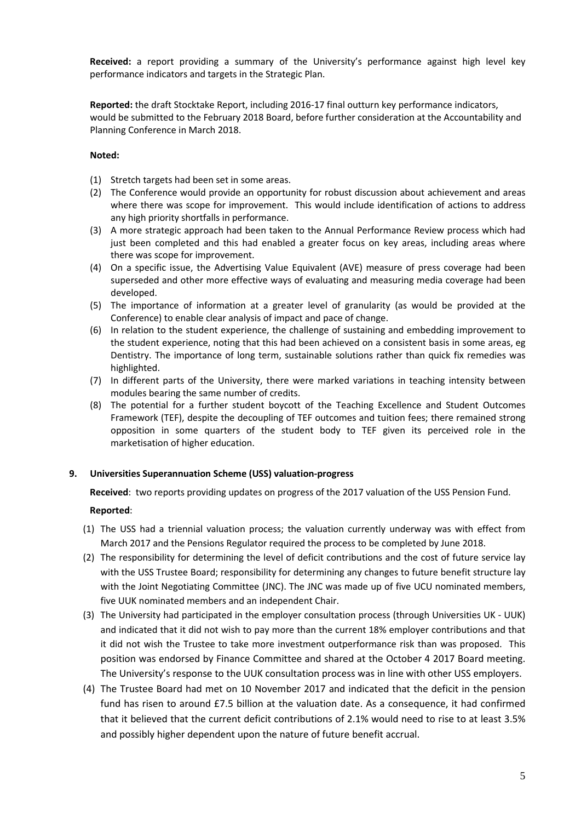**Received:** a report providing a summary of the University's performance against high level key performance indicators and targets in the Strategic Plan.

**Reported:** the draft Stocktake Report, including 2016-17 final outturn key performance indicators, would be submitted to the February 2018 Board, before further consideration at the Accountability and Planning Conference in March 2018.

# **Noted:**

- (1) Stretch targets had been set in some areas.
- (2) The Conference would provide an opportunity for robust discussion about achievement and areas where there was scope for improvement. This would include identification of actions to address any high priority shortfalls in performance.
- (3) A more strategic approach had been taken to the Annual Performance Review process which had just been completed and this had enabled a greater focus on key areas, including areas where there was scope for improvement.
- (4) On a specific issue, the Advertising Value Equivalent (AVE) measure of press coverage had been superseded and other more effective ways of evaluating and measuring media coverage had been developed.
- (5) The importance of information at a greater level of granularity (as would be provided at the Conference) to enable clear analysis of impact and pace of change.
- (6) In relation to the student experience, the challenge of sustaining and embedding improvement to the student experience, noting that this had been achieved on a consistent basis in some areas, eg Dentistry. The importance of long term, sustainable solutions rather than quick fix remedies was highlighted.
- (7) In different parts of the University, there were marked variations in teaching intensity between modules bearing the same number of credits.
- (8) The potential for a further student boycott of the Teaching Excellence and Student Outcomes Framework (TEF), despite the decoupling of TEF outcomes and tuition fees; there remained strong opposition in some quarters of the student body to TEF given its perceived role in the marketisation of higher education.

# **9. Universities Superannuation Scheme (USS) valuation-progress**

**Received**: two reports providing updates on progress of the 2017 valuation of the USS Pension Fund.

- (1) The USS had a triennial valuation process; the valuation currently underway was with effect from March 2017 and the Pensions Regulator required the process to be completed by June 2018.
- (2) The responsibility for determining the level of deficit contributions and the cost of future service lay with the USS Trustee Board; responsibility for determining any changes to future benefit structure lay with the Joint Negotiating Committee (JNC). The JNC was made up of five UCU nominated members, five UUK nominated members and an independent Chair.
- (3) The University had participated in the employer consultation process (through Universities UK UUK) and indicated that it did not wish to pay more than the current 18% employer contributions and that it did not wish the Trustee to take more investment outperformance risk than was proposed. This position was endorsed by Finance Committee and shared at the October 4 2017 Board meeting. The University's response to the UUK consultation process was in line with other USS employers.
- (4) The Trustee Board had met on 10 November 2017 and indicated that the deficit in the pension fund has risen to around £7.5 billion at the valuation date. As a consequence, it had confirmed that it believed that the current deficit contributions of 2.1% would need to rise to at least 3.5% and possibly higher dependent upon the nature of future benefit accrual.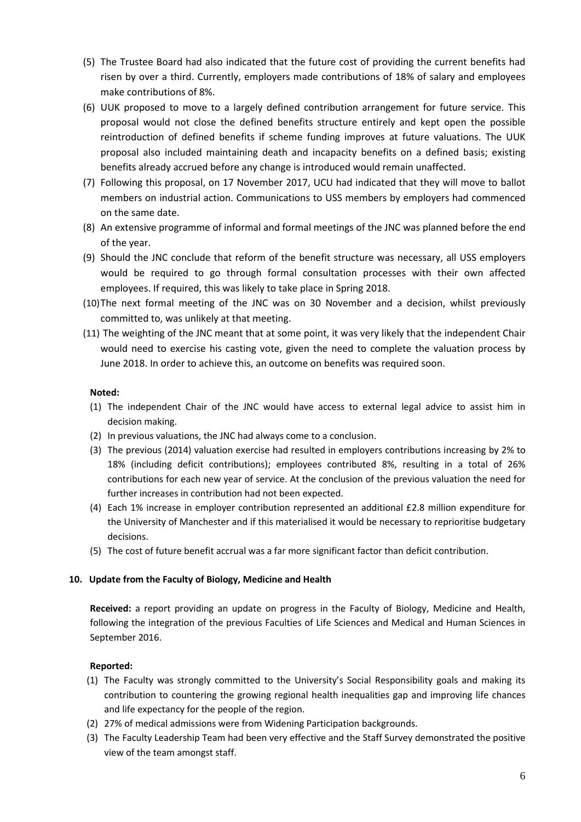- (5) The Trustee Board had also indicated that the future cost of providing the current benefits had risen by over a third. Currently, employers made contributions of 18% of salary and employees make contributions of 8%.
- (6) UUK proposed to move to a largely defined contribution arrangement for future service. This proposal would not close the defined benefits structure entirely and kept open the possible reintroduction of defined benefits if scheme funding improves at future valuations. The UUK proposal also included maintaining death and incapacity benefits on a defined basis; existing benefits already accrued before any change is introduced would remain unaffected.
- (7) Following this proposal, on 17 November 2017, UCU had indicated that they will move to ballot members on industrial action. Communications to USS members by employers had commenced on the same date.
- (8) An extensive programme of informal and formal meetings of the JNC was planned before the end of the year.
- (9) Should the JNC conclude that reform of the benefit structure was necessary, all USS employers would be required to go through formal consultation processes with their own affected employees. If required, this was likely to take place in Spring 2018.
- (10)The next formal meeting of the JNC was on 30 November and a decision, whilst previously committed to, was unlikely at that meeting.
- (11) The weighting of the JNC meant that at some point, it was very likely that the independent Chair would need to exercise his casting vote, given the need to complete the valuation process by June 2018. In order to achieve this, an outcome on benefits was required soon.

- (1) The independent Chair of the JNC would have access to external legal advice to assist him in decision making.
- (2) In previous valuations, the JNC had always come to a conclusion.
- (3) The previous (2014) valuation exercise had resulted in employers contributions increasing by 2% to 18% (including deficit contributions); employees contributed 8%, resulting in a total of 26% contributions for each new year of service. At the conclusion of the previous valuation the need for further increases in contribution had not been expected.
- (4) Each 1% increase in employer contribution represented an additional £2.8 million expenditure for the University of Manchester and if this materialised it would be necessary to reprioritise budgetary decisions.
- (5) The cost of future benefit accrual was a far more significant factor than deficit contribution.

# **10. Update from the Faculty of Biology, Medicine and Health**

**Received:** a report providing an update on progress in the Faculty of Biology, Medicine and Health, following the integration of the previous Faculties of Life Sciences and Medical and Human Sciences in September 2016.

- (1) The Faculty was strongly committed to the University's Social Responsibility goals and making its contribution to countering the growing regional health inequalities gap and improving life chances and life expectancy for the people of the region.
- (2) 27% of medical admissions were from Widening Participation backgrounds.
- (3) The Faculty Leadership Team had been very effective and the Staff Survey demonstrated the positive view of the team amongst staff.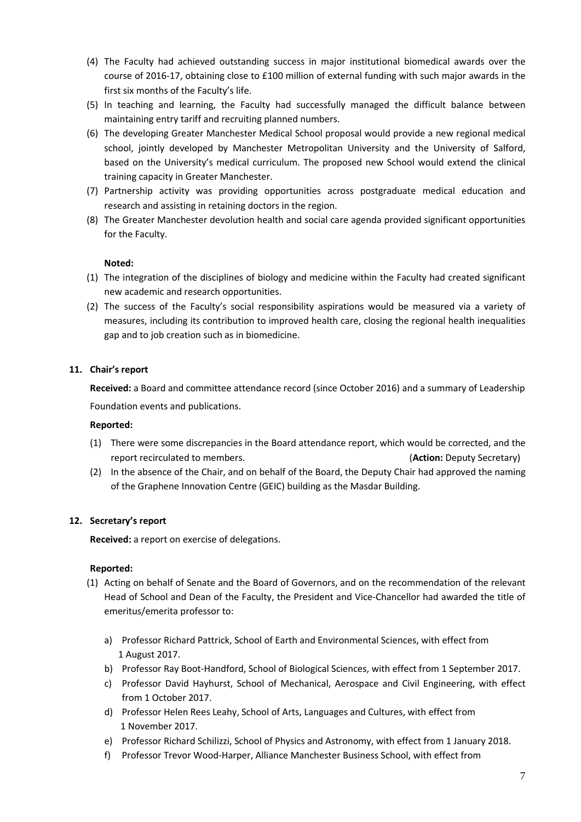- (4) The Faculty had achieved outstanding success in major institutional biomedical awards over the course of 2016-17, obtaining close to £100 million of external funding with such major awards in the first six months of the Faculty's life.
- (5) In teaching and learning, the Faculty had successfully managed the difficult balance between maintaining entry tariff and recruiting planned numbers.
- (6) The developing Greater Manchester Medical School proposal would provide a new regional medical school, jointly developed by Manchester Metropolitan University and the University of Salford, based on the University's medical curriculum. The proposed new School would extend the clinical training capacity in Greater Manchester.
- (7) Partnership activity was providing opportunities across postgraduate medical education and research and assisting in retaining doctors in the region.
- (8) The Greater Manchester devolution health and social care agenda provided significant opportunities for the Faculty.

- (1) The integration of the disciplines of biology and medicine within the Faculty had created significant new academic and research opportunities.
- (2) The success of the Faculty's social responsibility aspirations would be measured via a variety of measures, including its contribution to improved health care, closing the regional health inequalities gap and to job creation such as in biomedicine.

## **11. Chair's report**

**Received:** a Board and committee attendance record (since October 2016) and a summary of Leadership Foundation events and publications.

# **Reported:**

- (1) There were some discrepancies in the Board attendance report, which would be corrected, and the report recirculated to members. (**Action:** Deputy Secretary)
- (2) In the absence of the Chair, and on behalf of the Board, the Deputy Chair had approved the naming of the Graphene Innovation Centre (GEIC) building as the Masdar Building.

# **12. Secretary's report**

**Received:** a report on exercise of delegations.

- (1) Acting on behalf of Senate and the Board of Governors, and on the recommendation of the relevant Head of School and Dean of the Faculty, the President and Vice-Chancellor had awarded the title of emeritus/emerita professor to:
	- a) Professor Richard Pattrick, School of Earth and Environmental Sciences, with effect from 1 August 2017.
	- b) Professor Ray Boot-Handford, School of Biological Sciences, with effect from 1 September 2017.
	- c) Professor David Hayhurst, School of Mechanical, Aerospace and Civil Engineering, with effect from 1 October 2017.
	- d) Professor Helen Rees Leahy, School of Arts, Languages and Cultures, with effect from 1 November 2017.
	- e) Professor Richard Schilizzi, School of Physics and Astronomy, with effect from 1 January 2018.
	- f) Professor Trevor Wood-Harper, Alliance Manchester Business School, with effect from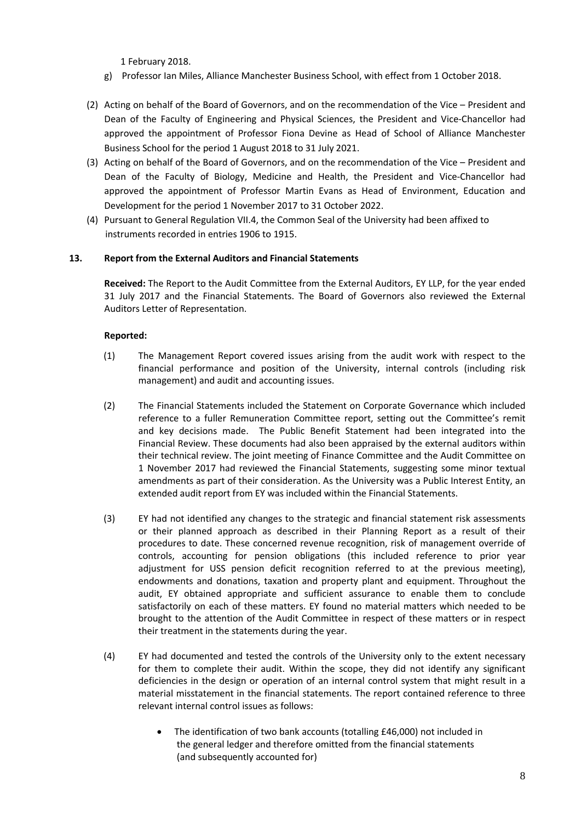1 February 2018.

- g) Professor Ian Miles, Alliance Manchester Business School, with effect from 1 October 2018.
- (2) Acting on behalf of the Board of Governors, and on the recommendation of the Vice President and Dean of the Faculty of Engineering and Physical Sciences, the President and Vice-Chancellor had approved the appointment of Professor Fiona Devine as Head of School of Alliance Manchester Business School for the period 1 August 2018 to 31 July 2021.
- (3) Acting on behalf of the Board of Governors, and on the recommendation of the Vice President and Dean of the Faculty of Biology, Medicine and Health, the President and Vice-Chancellor had approved the appointment of Professor Martin Evans as Head of Environment, Education and Development for the period 1 November 2017 to 31 October 2022.
- (4) Pursuant to General Regulation VII.4, the Common Seal of the University had been affixed to instruments recorded in entries 1906 to 1915.

# **13. Report from the External Auditors and Financial Statements**

**Received:** The Report to the Audit Committee from the External Auditors, EY LLP, for the year ended 31 July 2017 and the Financial Statements. The Board of Governors also reviewed the External Auditors Letter of Representation.

- (1) The Management Report covered issues arising from the audit work with respect to the financial performance and position of the University, internal controls (including risk management) and audit and accounting issues.
- (2) The Financial Statements included the Statement on Corporate Governance which included reference to a fuller Remuneration Committee report, setting out the Committee's remit and key decisions made. The Public Benefit Statement had been integrated into the Financial Review. These documents had also been appraised by the external auditors within their technical review. The joint meeting of Finance Committee and the Audit Committee on 1 November 2017 had reviewed the Financial Statements, suggesting some minor textual amendments as part of their consideration. As the University was a Public Interest Entity, an extended audit report from EY was included within the Financial Statements.
- (3) EY had not identified any changes to the strategic and financial statement risk assessments or their planned approach as described in their Planning Report as a result of their procedures to date. These concerned revenue recognition, risk of management override of controls, accounting for pension obligations (this included reference to prior year adjustment for USS pension deficit recognition referred to at the previous meeting), endowments and donations, taxation and property plant and equipment. Throughout the audit, EY obtained appropriate and sufficient assurance to enable them to conclude satisfactorily on each of these matters. EY found no material matters which needed to be brought to the attention of the Audit Committee in respect of these matters or in respect their treatment in the statements during the year.
- (4) EY had documented and tested the controls of the University only to the extent necessary for them to complete their audit. Within the scope, they did not identify any significant deficiencies in the design or operation of an internal control system that might result in a material misstatement in the financial statements. The report contained reference to three relevant internal control issues as follows:
	- The identification of two bank accounts (totalling £46,000) not included in the general ledger and therefore omitted from the financial statements (and subsequently accounted for)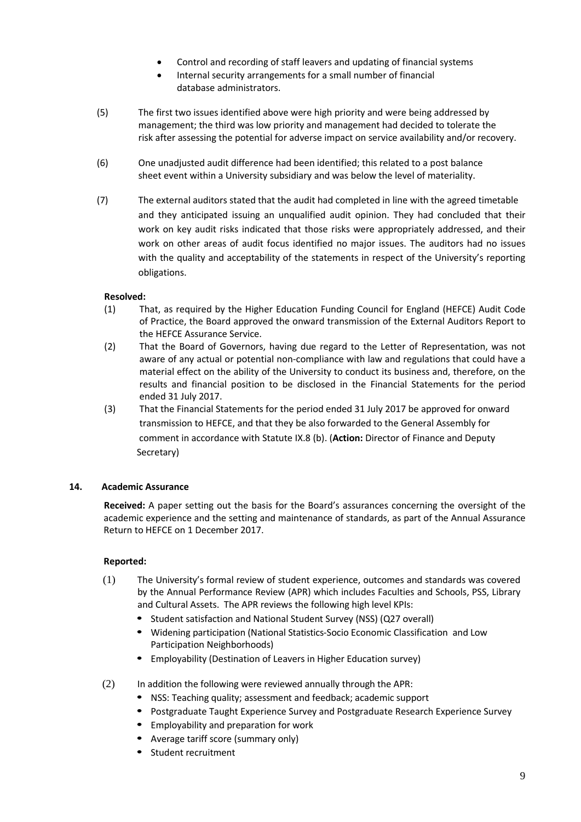- Control and recording of staff leavers and updating of financial systems
- Internal security arrangements for a small number of financial database administrators.
- (5) The first two issues identified above were high priority and were being addressed by management; the third was low priority and management had decided to tolerate the risk after assessing the potential for adverse impact on service availability and/or recovery.
- (6) One unadjusted audit difference had been identified; this related to a post balance sheet event within a University subsidiary and was below the level of materiality.
- (7) The external auditors stated that the audit had completed in line with the agreed timetable and they anticipated issuing an unqualified audit opinion. They had concluded that their work on key audit risks indicated that those risks were appropriately addressed, and their work on other areas of audit focus identified no major issues. The auditors had no issues with the quality and acceptability of the statements in respect of the University's reporting obligations.

# **Resolved:**

- (1) That, as required by the Higher Education Funding Council for England (HEFCE) Audit Code of Practice, the Board approved the onward transmission of the External Auditors Report to the HEFCE Assurance Service.
- (2) That the Board of Governors, having due regard to the Letter of Representation, was not aware of any actual or potential non-compliance with law and regulations that could have a material effect on the ability of the University to conduct its business and, therefore, on the results and financial position to be disclosed in the Financial Statements for the period ended 31 July 2017.
- (3) That the Financial Statements for the period ended 31 July 2017 be approved for onward transmission to HEFCE, and that they be also forwarded to the General Assembly for comment in accordance with Statute IX.8 (b). (**Action:** Director of Finance and Deputy Secretary)

# **14. Academic Assurance**

 **Received:** A paper setting out the basis for the Board's assurances concerning the oversight of the academic experience and the setting and maintenance of standards, as part of the Annual Assurance Return to HEFCE on 1 December 2017.

- (1) The University's formal review of student experience, outcomes and standards was covered by the Annual Performance Review (APR) which includes Faculties and Schools, PSS, Library and Cultural Assets. The APR reviews the following high level KPIs:
	- Student satisfaction and National Student Survey (NSS) (Q27 overall)
	- Widening participation (National Statistics-Socio Economic Classification and Low Participation Neighborhoods)
	- Employability (Destination of Leavers in Higher Education survey)
- (2) In addition the following were reviewed annually through the APR:
	- NSS: Teaching quality; assessment and feedback; academic support
	- Postgraduate Taught Experience Survey and Postgraduate Research Experience Survey
	- Employability and preparation for work
	- Average tariff score (summary only)
	- Student recruitment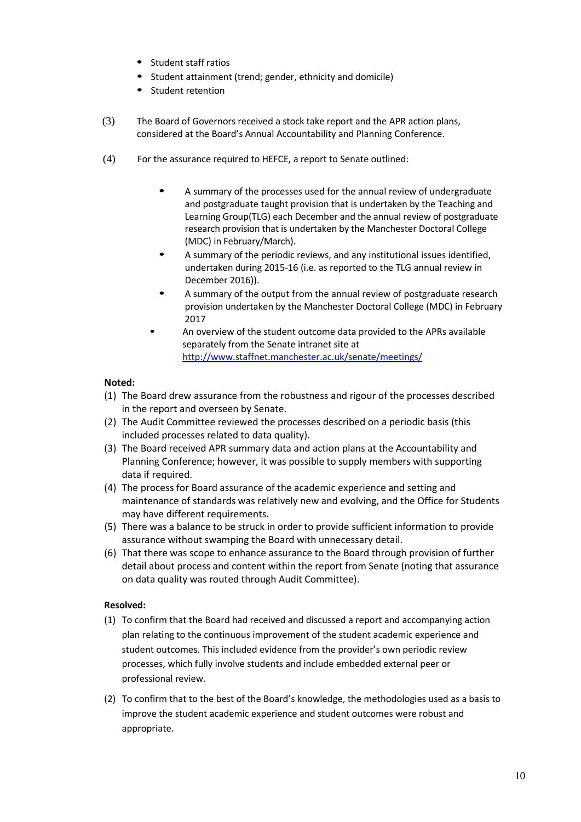- Student staff ratios
- Student attainment (trend; gender, ethnicity and domicile)
- Student retention
- (3) The Board of Governors received a stock take report and the APR action plans, considered at the Board's Annual Accountability and Planning Conference.
- (4) For the assurance required to HEFCE, a report to Senate outlined:
	- A summary of the processes used for the annual review of undergraduate and postgraduate taught provision that is undertaken by the Teaching and Learning Group(TLG) each December and the annual review of postgraduate research provision that is undertaken by the Manchester Doctoral College (MDC) in February/March).
	- A summary of the periodic reviews, and any institutional issues identified, undertaken during 2015-16 (i.e. as reported to the TLG annual review in December 2016)).
	- A summary of the output from the annual review of postgraduate research provision undertaken by the Manchester Doctoral College (MDC) in February 2017
	- An overview of the student outcome data provided to the APRs available separately from the Senate intranet site at <http://www.staffnet.manchester.ac.uk/senate/meetings/>

- (1) The Board drew assurance from the robustness and rigour of the processes described in the report and overseen by Senate.
- (2) The Audit Committee reviewed the processes described on a periodic basis (this included processes related to data quality).
- (3) The Board received APR summary data and action plans at the Accountability and Planning Conference; however, it was possible to supply members with supporting data if required.
- (4) The process for Board assurance of the academic experience and setting and maintenance of standards was relatively new and evolving, and the Office for Students may have different requirements.
- (5) There was a balance to be struck in order to provide sufficient information to provide assurance without swamping the Board with unnecessary detail.
- (6) That there was scope to enhance assurance to the Board through provision of further detail about process and content within the report from Senate (noting that assurance on data quality was routed through Audit Committee).

# **Resolved:**

- (1) To confirm that the Board had received and discussed a report and accompanying action plan relating to the continuous improvement of the student academic experience and student outcomes. This included evidence from the provider's own periodic review processes, which fully involve students and include embedded external peer or professional review.
- (2) To confirm that to the best of the Board's knowledge, the methodologies used as a basis to improve the student academic experience and student outcomes were robust and appropriate.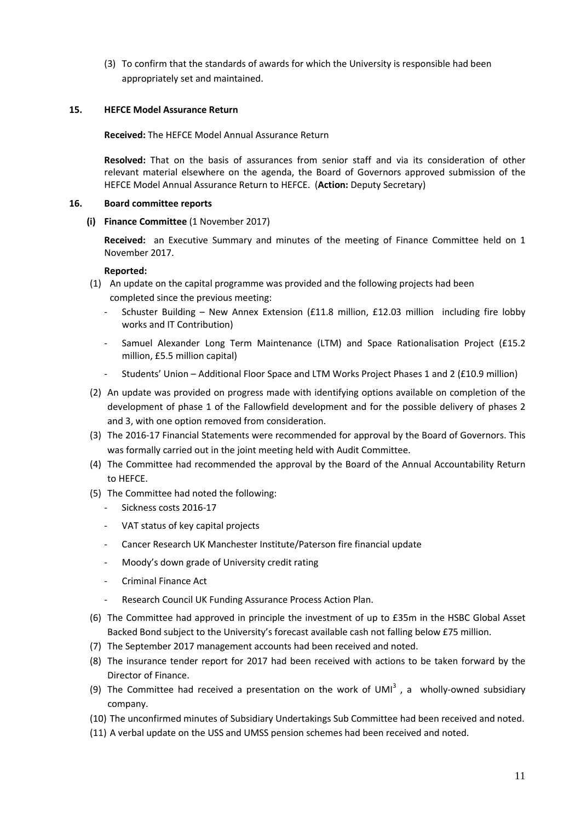(3) To confirm that the standards of awards for which the University is responsible had been appropriately set and maintained.

## **15. HEFCE Model Assurance Return**

**Received:** The HEFCE Model Annual Assurance Return

**Resolved:** That on the basis of assurances from senior staff and via its consideration of other relevant material elsewhere on the agenda, the Board of Governors approved submission of the HEFCE Model Annual Assurance Return to HEFCE. (**Action:** Deputy Secretary)

#### **16. Board committee reports**

**(i) Finance Committee** (1 November 2017)

**Received:** an Executive Summary and minutes of the meeting of Finance Committee held on 1 November 2017.

- (1) An update on the capital programme was provided and the following projects had been completed since the previous meeting:
	- Schuster Building New Annex Extension (£11.8 million, £12.03 million including fire lobby works and IT Contribution)
	- Samuel Alexander Long Term Maintenance (LTM) and Space Rationalisation Project (£15.2 million, £5.5 million capital)
	- Students' Union Additional Floor Space and LTM Works Project Phases 1 and 2 (£10.9 million)
- (2) An update was provided on progress made with identifying options available on completion of the development of phase 1 of the Fallowfield development and for the possible delivery of phases 2 and 3, with one option removed from consideration.
- (3) The 2016-17 Financial Statements were recommended for approval by the Board of Governors. This was formally carried out in the joint meeting held with Audit Committee.
- (4) The Committee had recommended the approval by the Board of the Annual Accountability Return to HEFCE.
- (5) The Committee had noted the following:
	- Sickness costs 2016-17
	- VAT status of key capital projects
	- Cancer Research UK Manchester Institute/Paterson fire financial update
	- Moody's down grade of University credit rating
	- Criminal Finance Act
	- Research Council UK Funding Assurance Process Action Plan.
- (6) The Committee had approved in principle the investment of up to £35m in the HSBC Global Asset Backed Bond subject to the University's forecast available cash not falling below £75 million.
- (7) The September 2017 management accounts had been received and noted.
- (8) The insurance tender report for 2017 had been received with actions to be taken forward by the Director of Finance.
- (9) The Committee had received a presentation on the work of UMI<sup>3</sup>, a wholly-owned subsidiary company.
- (10) The unconfirmed minutes of Subsidiary Undertakings Sub Committee had been received and noted.
- (11) A verbal update on the USS and UMSS pension schemes had been received and noted.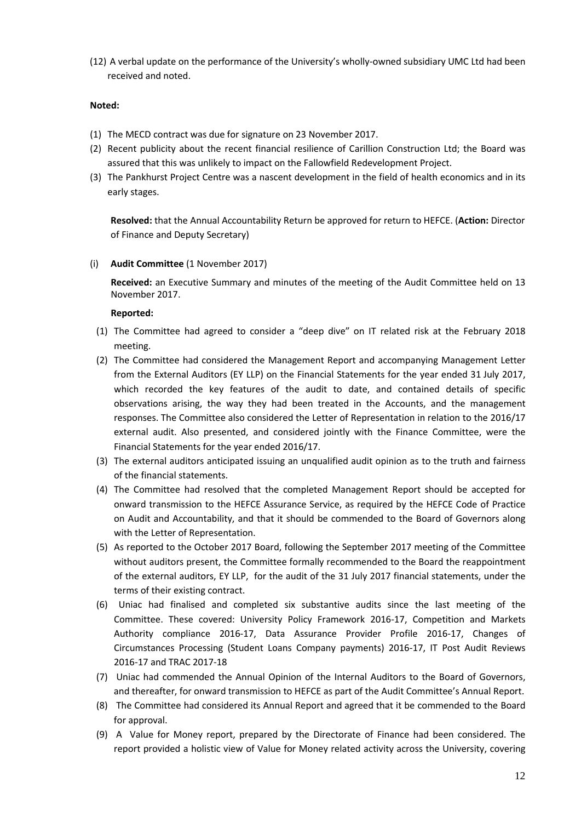(12) A verbal update on the performance of the University's wholly-owned subsidiary UMC Ltd had been received and noted.

## **Noted:**

- (1) The MECD contract was due for signature on 23 November 2017.
- (2) Recent publicity about the recent financial resilience of Carillion Construction Ltd; the Board was assured that this was unlikely to impact on the Fallowfield Redevelopment Project.
- (3) The Pankhurst Project Centre was a nascent development in the field of health economics and in its early stages.

**Resolved:** that the Annual Accountability Return be approved for return to HEFCE. (**Action:** Director of Finance and Deputy Secretary)

(i) **Audit Committee** (1 November 2017)

**Received:** an Executive Summary and minutes of the meeting of the Audit Committee held on 13 November 2017.

- (1) The Committee had agreed to consider a "deep dive" on IT related risk at the February 2018 meeting.
- (2) The Committee had considered the Management Report and accompanying Management Letter from the External Auditors (EY LLP) on the Financial Statements for the year ended 31 July 2017, which recorded the key features of the audit to date, and contained details of specific observations arising, the way they had been treated in the Accounts, and the management responses. The Committee also considered the Letter of Representation in relation to the 2016/17 external audit. Also presented, and considered jointly with the Finance Committee, were the Financial Statements for the year ended 2016/17.
- (3) The external auditors anticipated issuing an unqualified audit opinion as to the truth and fairness of the financial statements.
- (4) The Committee had resolved that the completed Management Report should be accepted for onward transmission to the HEFCE Assurance Service, as required by the HEFCE Code of Practice on Audit and Accountability, and that it should be commended to the Board of Governors along with the Letter of Representation.
- (5) As reported to the October 2017 Board, following the September 2017 meeting of the Committee without auditors present, the Committee formally recommended to the Board the reappointment of the external auditors, EY LLP, for the audit of the 31 July 2017 financial statements, under the terms of their existing contract.
- (6) Uniac had finalised and completed six substantive audits since the last meeting of the Committee. These covered: University Policy Framework 2016-17, Competition and Markets Authority compliance 2016-17, Data Assurance Provider Profile 2016-17, Changes of Circumstances Processing (Student Loans Company payments) 2016-17, IT Post Audit Reviews 2016-17 and TRAC 2017-18
- (7) Uniac had commended the Annual Opinion of the Internal Auditors to the Board of Governors, and thereafter, for onward transmission to HEFCE as part of the Audit Committee's Annual Report.
- (8) The Committee had considered its Annual Report and agreed that it be commended to the Board for approval.
- (9) A Value for Money report, prepared by the Directorate of Finance had been considered. The report provided a holistic view of Value for Money related activity across the University, covering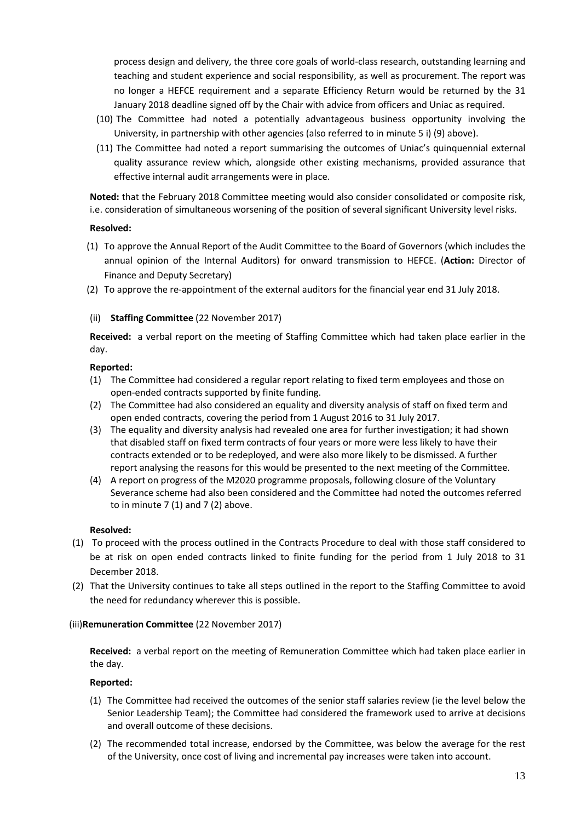process design and delivery, the three core goals of world-class research, outstanding learning and teaching and student experience and social responsibility, as well as procurement. The report was no longer a HEFCE requirement and a separate Efficiency Return would be returned by the 31 January 2018 deadline signed off by the Chair with advice from officers and Uniac as required.

- (10) The Committee had noted a potentially advantageous business opportunity involving the University, in partnership with other agencies (also referred to in minute 5 i) (9) above).
- (11) The Committee had noted a report summarising the outcomes of Uniac's quinquennial external quality assurance review which, alongside other existing mechanisms, provided assurance that effective internal audit arrangements were in place.

**Noted:** that the February 2018 Committee meeting would also consider consolidated or composite risk, i.e. consideration of simultaneous worsening of the position of several significant University level risks.

### **Resolved:**

- (1) To approve the Annual Report of the Audit Committee to the Board of Governors (which includes the annual opinion of the Internal Auditors) for onward transmission to HEFCE. (**Action:** Director of Finance and Deputy Secretary)
- (2) To approve the re-appointment of the external auditors for the financial year end 31 July 2018.

## (ii) **Staffing Committee** (22 November 2017)

**Received:** a verbal report on the meeting of Staffing Committee which had taken place earlier in the day.

## **Reported:**

- (1) The Committee had considered a regular report relating to fixed term employees and those on open-ended contracts supported by finite funding.
- (2) The Committee had also considered an equality and diversity analysis of staff on fixed term and open ended contracts, covering the period from 1 August 2016 to 31 July 2017.
- (3) The equality and diversity analysis had revealed one area for further investigation; it had shown that disabled staff on fixed term contracts of four years or more were less likely to have their contracts extended or to be redeployed, and were also more likely to be dismissed. A further report analysing the reasons for this would be presented to the next meeting of the Committee.
- (4) A report on progress of the M2020 programme proposals, following closure of the Voluntary Severance scheme had also been considered and the Committee had noted the outcomes referred to in minute  $7(1)$  and  $7(2)$  above.

### **Resolved:**

- (1) To proceed with the process outlined in the Contracts Procedure to deal with those staff considered to be at risk on open ended contracts linked to finite funding for the period from 1 July 2018 to 31 December 2018.
- (2) That the University continues to take all steps outlined in the report to the Staffing Committee to avoid the need for redundancy wherever this is possible.

# (iii)**Remuneration Committee** (22 November 2017)

**Received:** a verbal report on the meeting of Remuneration Committee which had taken place earlier in the day.

- (1) The Committee had received the outcomes of the senior staff salaries review (ie the level below the Senior Leadership Team); the Committee had considered the framework used to arrive at decisions and overall outcome of these decisions.
- (2) The recommended total increase, endorsed by the Committee, was below the average for the rest of the University, once cost of living and incremental pay increases were taken into account.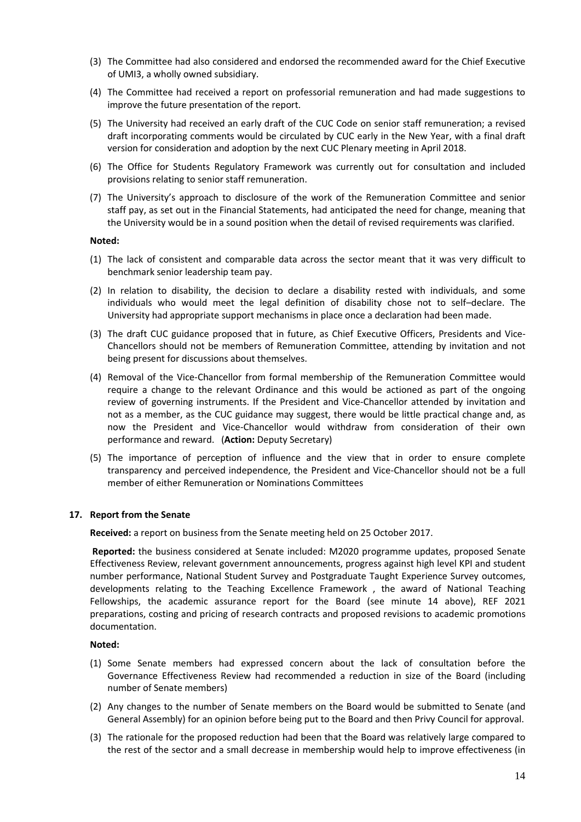- (3) The Committee had also considered and endorsed the recommended award for the Chief Executive of UMI3, a wholly owned subsidiary.
- (4) The Committee had received a report on professorial remuneration and had made suggestions to improve the future presentation of the report.
- (5) The University had received an early draft of the CUC Code on senior staff remuneration; a revised draft incorporating comments would be circulated by CUC early in the New Year, with a final draft version for consideration and adoption by the next CUC Plenary meeting in April 2018.
- (6) The Office for Students Regulatory Framework was currently out for consultation and included provisions relating to senior staff remuneration.
- (7) The University's approach to disclosure of the work of the Remuneration Committee and senior staff pay, as set out in the Financial Statements, had anticipated the need for change, meaning that the University would be in a sound position when the detail of revised requirements was clarified.

- (1) The lack of consistent and comparable data across the sector meant that it was very difficult to benchmark senior leadership team pay.
- (2) In relation to disability, the decision to declare a disability rested with individuals, and some individuals who would meet the legal definition of disability chose not to self–declare. The University had appropriate support mechanisms in place once a declaration had been made.
- (3) The draft CUC guidance proposed that in future, as Chief Executive Officers, Presidents and Vice-Chancellors should not be members of Remuneration Committee, attending by invitation and not being present for discussions about themselves.
- (4) Removal of the Vice-Chancellor from formal membership of the Remuneration Committee would require a change to the relevant Ordinance and this would be actioned as part of the ongoing review of governing instruments. If the President and Vice-Chancellor attended by invitation and not as a member, as the CUC guidance may suggest, there would be little practical change and, as now the President and Vice-Chancellor would withdraw from consideration of their own performance and reward. (**Action:** Deputy Secretary)
- (5) The importance of perception of influence and the view that in order to ensure complete transparency and perceived independence, the President and Vice-Chancellor should not be a full member of either Remuneration or Nominations Committees

### **17. Report from the Senate**

**Received:** a report on business from the Senate meeting held on 25 October 2017.

**Reported:** the business considered at Senate included: M2020 programme updates, proposed Senate Effectiveness Review, relevant government announcements, progress against high level KPI and student number performance, National Student Survey and Postgraduate Taught Experience Survey outcomes, developments relating to the Teaching Excellence Framework , the award of National Teaching Fellowships, the academic assurance report for the Board (see minute 14 above), REF 2021 preparations, costing and pricing of research contracts and proposed revisions to academic promotions documentation.

### **Noted:**

- (1) Some Senate members had expressed concern about the lack of consultation before the Governance Effectiveness Review had recommended a reduction in size of the Board (including number of Senate members)
- (2) Any changes to the number of Senate members on the Board would be submitted to Senate (and General Assembly) for an opinion before being put to the Board and then Privy Council for approval.
- (3) The rationale for the proposed reduction had been that the Board was relatively large compared to the rest of the sector and a small decrease in membership would help to improve effectiveness (in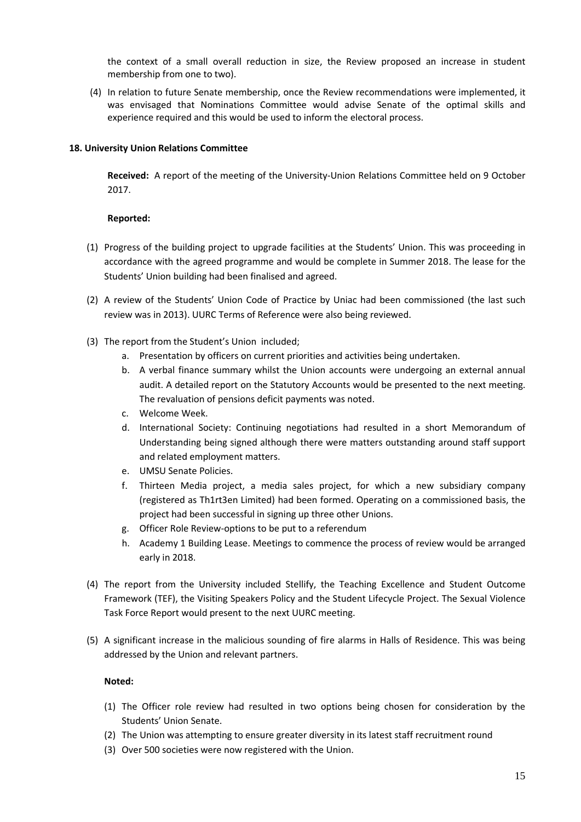the context of a small overall reduction in size, the Review proposed an increase in student membership from one to two).

(4) In relation to future Senate membership, once the Review recommendations were implemented, it was envisaged that Nominations Committee would advise Senate of the optimal skills and experience required and this would be used to inform the electoral process.

# **18. University Union Relations Committee**

**Received:** A report of the meeting of the University-Union Relations Committee held on 9 October 2017.

# **Reported:**

- (1) Progress of the building project to upgrade facilities at the Students' Union. This was proceeding in accordance with the agreed programme and would be complete in Summer 2018. The lease for the Students' Union building had been finalised and agreed.
- (2) A review of the Students' Union Code of Practice by Uniac had been commissioned (the last such review was in 2013). UURC Terms of Reference were also being reviewed.
- (3) The report from the Student's Union included;
	- a. Presentation by officers on current priorities and activities being undertaken.
	- b. A verbal finance summary whilst the Union accounts were undergoing an external annual audit. A detailed report on the Statutory Accounts would be presented to the next meeting. The revaluation of pensions deficit payments was noted.
	- c. Welcome Week.
	- d. International Society: Continuing negotiations had resulted in a short Memorandum of Understanding being signed although there were matters outstanding around staff support and related employment matters.
	- e. UMSU Senate Policies.
	- f. Thirteen Media project, a media sales project, for which a new subsidiary company (registered as Th1rt3en Limited) had been formed. Operating on a commissioned basis, the project had been successful in signing up three other Unions.
	- g. Officer Role Review-options to be put to a referendum
	- h. Academy 1 Building Lease. Meetings to commence the process of review would be arranged early in 2018.
- (4) The report from the University included Stellify, the Teaching Excellence and Student Outcome Framework (TEF), the Visiting Speakers Policy and the Student Lifecycle Project. The Sexual Violence Task Force Report would present to the next UURC meeting.
- (5) A significant increase in the malicious sounding of fire alarms in Halls of Residence. This was being addressed by the Union and relevant partners.

# **Noted:**

- (1) The Officer role review had resulted in two options being chosen for consideration by the Students' Union Senate.
- (2) The Union was attempting to ensure greater diversity in its latest staff recruitment round
- (3) Over 500 societies were now registered with the Union.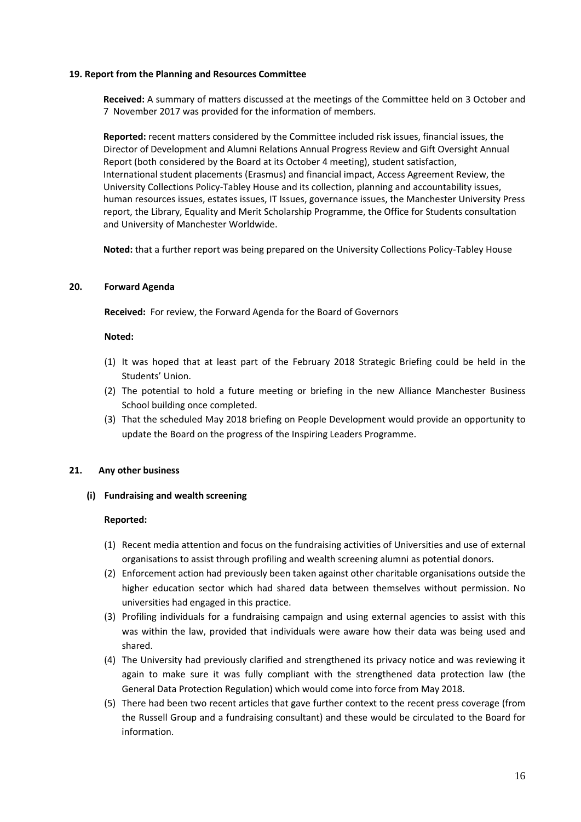### **19. Report from the Planning and Resources Committee**

**Received:** A summary of matters discussed at the meetings of the Committee held on 3 October and 7 November 2017 was provided for the information of members.

**Reported:** recent matters considered by the Committee included risk issues, financial issues, the Director of Development and Alumni Relations Annual Progress Review and Gift Oversight Annual Report (both considered by the Board at its October 4 meeting), student satisfaction, International student placements (Erasmus) and financial impact, Access Agreement Review, the University Collections Policy-Tabley House and its collection, planning and accountability issues, human resources issues, estates issues, IT Issues, governance issues, the Manchester University Press report, the Library, Equality and Merit Scholarship Programme, the Office for Students consultation and University of Manchester Worldwide.

**Noted:** that a further report was being prepared on the University Collections Policy-Tabley House

# **20. Forward Agenda**

**Received:** For review, the Forward Agenda for the Board of Governors

### **Noted:**

- (1) It was hoped that at least part of the February 2018 Strategic Briefing could be held in the Students' Union.
- (2) The potential to hold a future meeting or briefing in the new Alliance Manchester Business School building once completed.
- (3) That the scheduled May 2018 briefing on People Development would provide an opportunity to update the Board on the progress of the Inspiring Leaders Programme.

# **21. Any other business**

**(i) Fundraising and wealth screening**

- (1) Recent media attention and focus on the fundraising activities of Universities and use of external organisations to assist through profiling and wealth screening alumni as potential donors.
- (2) Enforcement action had previously been taken against other charitable organisations outside the higher education sector which had shared data between themselves without permission. No universities had engaged in this practice.
- (3) Profiling individuals for a fundraising campaign and using external agencies to assist with this was within the law, provided that individuals were aware how their data was being used and shared.
- (4) The University had previously clarified and strengthened its privacy notice and was reviewing it again to make sure it was fully compliant with the strengthened data protection law (the General Data Protection Regulation) which would come into force from May 2018.
- (5) There had been two recent articles that gave further context to the recent press coverage (from the Russell Group and a fundraising consultant) and these would be circulated to the Board for information.